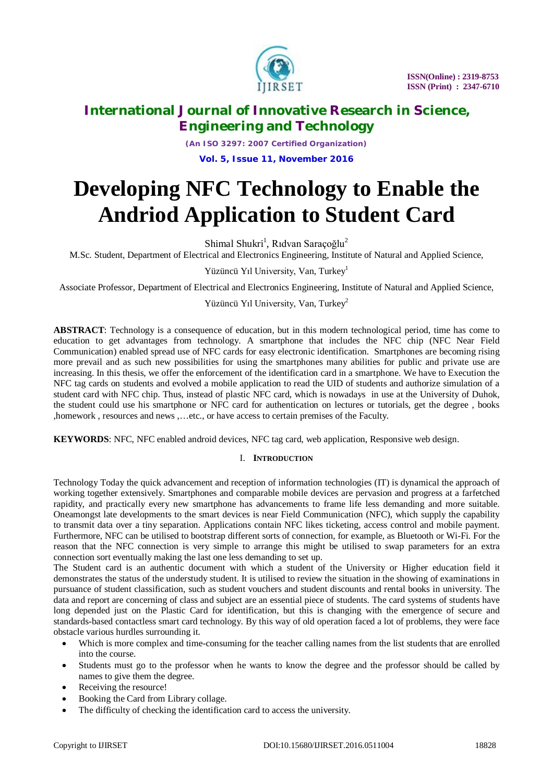

*(An ISO 3297: 2007 Certified Organization)* **Vol. 5, Issue 11, November 2016**

# **Developing NFC Technology to Enable the Andriod Application to Student Card**

Shimal Shukri<sup>1</sup>, Rıdvan Saraçoğlu<sup>2</sup>

M.Sc. Student, Department of Electrical and Electronics Engineering, Institute of Natural and Applied Science,

Yüzüncü Yıl University, Van, Turkey<sup>1</sup>

Associate Professor, Department of Electrical and Electronics Engineering, Institute of Natural and Applied Science,

### Yüzüncü Yıl University, Van, Turkey<sup>2</sup>

**ABSTRACT**: Technology is a consequence of education, but in this modern technological period, time has come to education to get advantages from technology. A smartphone that includes the NFC chip (NFC Near Field Communication) enabled spread use of NFC cards for easy electronic identification. Smartphones are becoming rising more prevail and as such new possibilities for using the smartphones many abilities for public and private use are increasing. In this thesis, we offer the enforcement of the identification card in a smartphone. We have to Execution the NFC tag cards on students and evolved a mobile application to read the UID of students and authorize simulation of a student card with NFC chip. Thus, instead of plastic NFC card, which is nowadays in use at the University of Duhok, the student could use his smartphone or NFC card for authentication on lectures or tutorials, get the degree , books ,homework , resources and news ,…etc., or have access to certain premises of the Faculty.

**KEYWORDS**: NFC, NFC enabled android devices, NFC tag card, web application, Responsive web design.

#### I. **INTRODUCTION**

Technology Today the quick advancement and reception of information technologies (IT) is dynamical the approach of working together extensively. Smartphones and comparable mobile devices are pervasion and progress at a farfetched rapidity, and practically every new smartphone has advancements to frame life less demanding and more suitable. Oneamongst late developments to the smart devices is near Field Communication (NFC), which supply the capability to transmit data over a tiny separation. Applications contain NFC likes ticketing, access control and mobile payment. Furthermore, NFC can be utilised to bootstrap different sorts of connection, for example, as Bluetooth or Wi-Fi. For the reason that the NFC connection is very simple to arrange this might be utilised to swap parameters for an extra connection sort eventually making the last one less demanding to set up.

The Student card is an authentic document with which a student of the University or Higher education field it demonstrates the status of the understudy student. It is utilised to review the situation in the showing of examinations in pursuance of student classification, such as student vouchers and student discounts and rental books in university. The data and report are concerning of class and subject are an essential piece of students. The card systems of students have long depended just on the Plastic Card for identification, but this is changing with the emergence of secure and standards-based contactless smart card technology. By this way of old operation faced a lot of problems, they were face obstacle various hurdles surrounding it.

- Which is more complex and time-consuming for the teacher calling names from the list students that are enrolled into the course.
- Students must go to the professor when he wants to know the degree and the professor should be called by names to give them the degree.
- Receiving the resource!
- Booking the Card from Library collage.
- The difficulty of checking the identification card to access the university.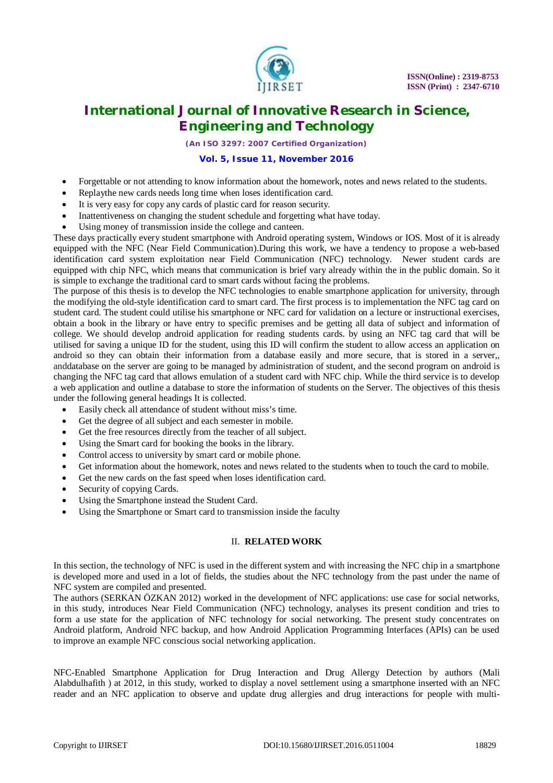

*(An ISO 3297: 2007 Certified Organization)*

#### **Vol. 5, Issue 11, November 2016**

- Forgettable or not attending to know information about the homework, notes and news related to the students.
- Replaythe new cards needs long time when loses identification card.
- It is very easy for copy any cards of plastic card for reason security.
- Inattentiveness on changing the student schedule and forgetting what have today.
- Using money of transmission inside the college and canteen.

These days practically every student smartphone with Android operating system, Windows or IOS. Most of it is already equipped with the NFC (Near Field Communication).During this work, we have a tendency to propose a web-based identification card system exploitation near Field Communication (NFC) technology. Newer student cards are equipped with chip NFC, which means that communication is brief vary already within the in the public domain. So it is simple to exchange the traditional card to smart cards without facing the problems.

The purpose of this thesis is to develop the NFC technologies to enable smartphone application for university, through the modifying the old-style identification card to smart card. The first process is to implementation the NFC tag card on student card. The student could utilise his smartphone or NFC card for validation on a lecture or instructional exercises, obtain a book in the library or have entry to specific premises and be getting all data of subject and information of college. We should develop android application for reading students cards. by using an NFC tag card that will be utilised for saving a unique ID for the student, using this ID will confirm the student to allow access an application on android so they can obtain their information from a database easily and more secure, that is stored in a server,, anddatabase on the server are going to be managed by administration of student, and the second program on android is changing the NFC tag card that allows emulation of a student card with NFC chip. While the third service is to develop a web application and outline a database to store the information of students on the Server. The objectives of this thesis under the following general headings It is collected.

- Easily check all attendance of student without miss's time.
- Get the degree of all subject and each semester in mobile.
- Get the free resources directly from the teacher of all subject.
- Using the Smart card for booking the books in the library.
- Control access to university by smart card or mobile phone.
- Get information about the homework, notes and news related to the students when to touch the card to mobile.
- Get the new cards on the fast speed when loses identification card.
- Security of copying Cards.
- Using the Smartphone instead the Student Card.
- Using the Smartphone or Smart card to transmission inside the faculty

#### II. **RELATED WORK**

In this section, the technology of NFC is used in the different system and with increasing the NFC chip in a smartphone is developed more and used in a lot of fields, the studies about the NFC technology from the past under the name of NFC system are compiled and presented.

The authors (SERKAN ÖZKAN 2012) worked in the development of NFC applications: use case for social networks, in this study, introduces Near Field Communication (NFC) technology, analyses its present condition and tries to form a use state for the application of NFC technology for social networking. The present study concentrates on Android platform, Android NFC backup, and how Android Application Programming Interfaces (APIs) can be used to improve an example NFC conscious social networking application.

NFC-Enabled Smartphone Application for Drug Interaction and Drug Allergy Detection by authors (Mali Alabdulhafith ) at 2012, in this study, worked to display a novel settlement using a smartphone inserted with an NFC reader and an NFC application to observe and update drug allergies and drug interactions for people with multi-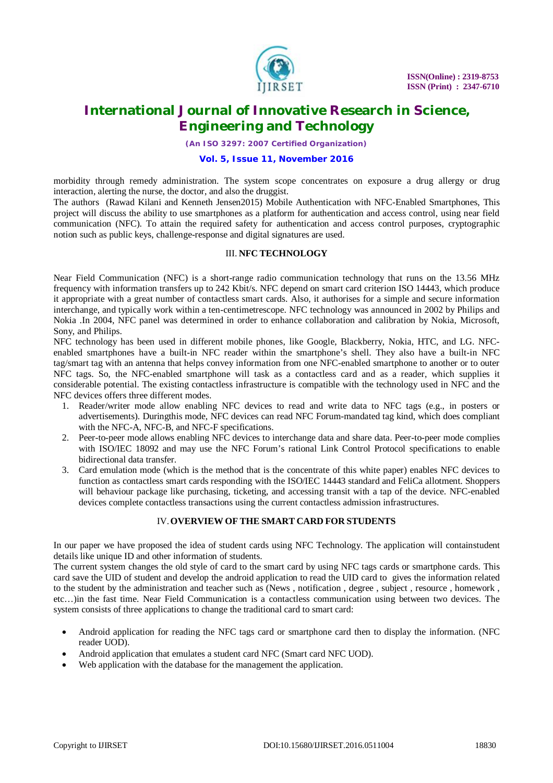

*(An ISO 3297: 2007 Certified Organization)*

#### **Vol. 5, Issue 11, November 2016**

morbidity through remedy administration. The system scope concentrates on exposure a drug allergy or drug interaction, alerting the nurse, the doctor, and also the druggist.

The authors (Rawad Kilani and Kenneth Jensen2015) Mobile Authentication with NFC-Enabled Smartphones, This project will discuss the ability to use smartphones as a platform for authentication and access control, using near field communication (NFC). To attain the required safety for authentication and access control purposes, cryptographic notion such as public keys, challenge-response and digital signatures are used.

#### III. **NFC TECHNOLOGY**

Near Field Communication (NFC) is a short-range radio communication technology that runs on the 13.56 MHz frequency with information transfers up to 242 Kbit/s. NFC depend on smart card criterion ISO 14443, which produce it appropriate with a great number of contactless smart cards. Also, it authorises for a simple and secure information interchange, and typically work within a ten-centimetrescope. NFC technology was announced in 2002 by Philips and Nokia .In 2004, NFC panel was determined in order to enhance collaboration and calibration by Nokia, Microsoft, Sony, and Philips.

NFC technology has been used in different mobile phones, like Google, Blackberry, Nokia, HTC, and LG. NFCenabled smartphones have a built-in NFC reader within the smartphone's shell. They also have a built-in NFC tag/smart tag with an antenna that helps convey information from one NFC-enabled smartphone to another or to outer NFC tags. So, the NFC-enabled smartphone will task as a contactless card and as a reader, which supplies it considerable potential. The existing contactless infrastructure is compatible with the technology used in NFC and the NFC devices offers three different modes.

- 1. Reader/writer mode allow enabling NFC devices to read and write data to NFC tags (e.g., in posters or advertisements). Duringthis mode, NFC devices can read NFC Forum-mandated tag kind, which does compliant with the NFC-A, NFC-B, and NFC-F specifications.
- 2. Peer-to-peer mode allows enabling NFC devices to interchange data and share data. Peer-to-peer mode complies with ISO/IEC 18092 and may use the NFC Forum's rational Link Control Protocol specifications to enable bidirectional data transfer.
- 3. Card emulation mode (which is the method that is the concentrate of this white paper) enables NFC devices to function as contactless smart cards responding with the ISO/IEC 14443 standard and FeliCa allotment. Shoppers will behaviour package like purchasing, ticketing, and accessing transit with a tap of the device. NFC-enabled devices complete contactless transactions using the current contactless admission infrastructures.

#### IV.**OVERVIEW OF THE SMART CARD FOR STUDENTS**

In our paper we have proposed the idea of student cards using NFC Technology. The application will containstudent details like unique ID and other information of students.

The current system changes the old style of card to the smart card by using NFC tags cards or smartphone cards. This card save the UID of student and develop the android application to read the UID card to gives the information related to the student by the administration and teacher such as (News , notification , degree , subject , resource , homework , etc…)in the fast time. Near Field Communication is a contactless communication using between two devices. The system consists of three applications to change the traditional card to smart card:

- Android application for reading the NFC tags card or smartphone card then to display the information. (NFC reader UOD).
- Android application that emulates a student card NFC (Smart card NFC UOD).
- Web application with the database for the management the application.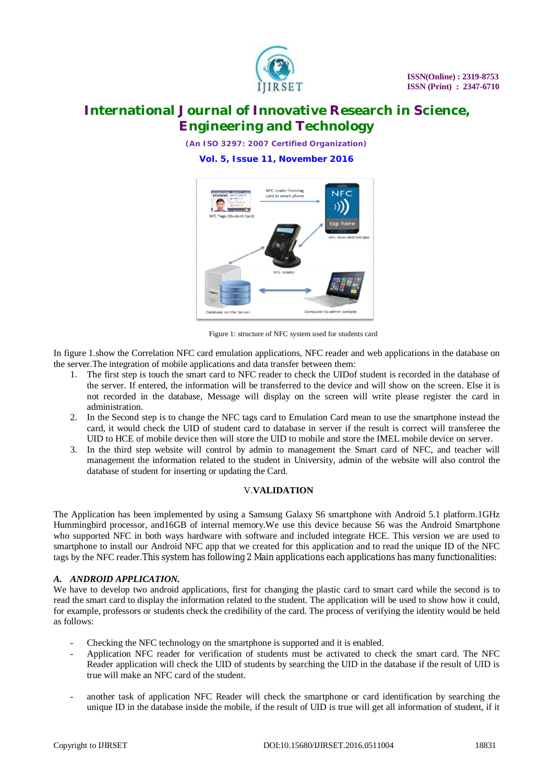

*(An ISO 3297: 2007 Certified Organization)*

**Vol. 5, Issue 11, November 2016**



Figure 1: structure of NFC system used for students card

In figure 1.show the Correlation NFC card emulation applications, NFC reader and web applications in the database on the server.The integration of mobile applications and data transfer between them:

- 1. The first step is touch the smart card to NFC reader to check the UIDof student is recorded in the database of the server. If entered, the information will be transferred to the device and will show on the screen. Else it is not recorded in the database, Message will display on the screen will write please register the card in administration.
- 2. In the Second step is to change the NFC tags card to Emulation Card mean to use the smartphone instead the card, it would check the UID of student card to database in server if the result is correct will transferee the UID to HCE of mobile device then will store the UID to mobile and store the IMEL mobile device on server.
- 3. In the third step website will control by admin to management the Smart card of NFC, and teacher will management the information related to the student in University, admin of the website will also control the database of student for inserting or updating the Card.

#### V.**VALIDATION**

The Application has been implemented by using a Samsung Galaxy S6 smartphone with Android 5.1 platform.1GHz Hummingbird processor, and16GB of internal memory.We use this device because S6 was the Android Smartphone who supported NFC in both ways hardware with software and included integrate HCE. This version we are used to smartphone to install our Android NFC app that we created for this application and to read the unique ID of the NFC tags by the NFC reader.This system has following 2 Main applications each applications has many functionalities:

#### *A. ANDROID APPLICATION.*

We have to develop two android applications, first for changing the plastic card to smart card while the second is to read the smart card to display the information related to the student. The application will be used to show how it could, for example, professors or students check the credibility of the card. The process of verifying the identity would be held as follows:

- Checking the NFC technology on the smartphone is supported and it is enabled.
- Application NFC reader for verification of students must be activated to check the smart card. The NFC Reader application will check the UID of students by searching the UID in the database if the result of UID is true will make an NFC card of the student.
- another task of application NFC Reader will check the smartphone or card identification by searching the unique ID in the database inside the mobile, if the result of UID is true will get all information of student, if it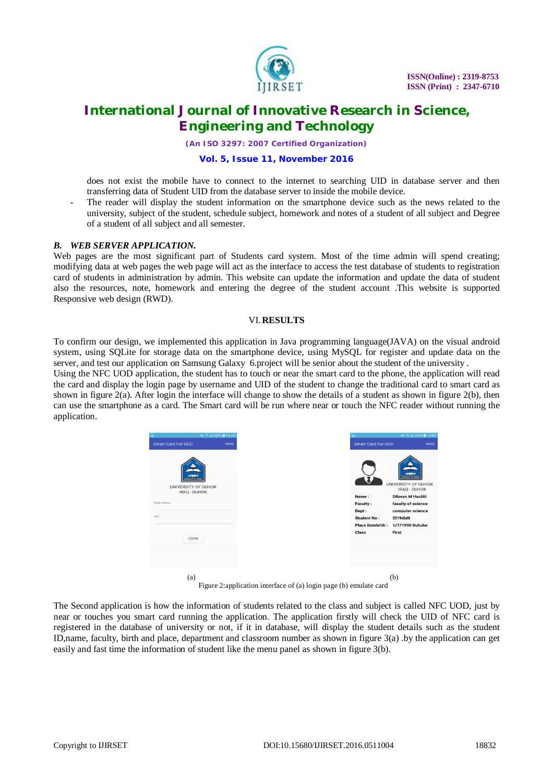

*(An ISO 3297: 2007 Certified Organization)*

#### **Vol. 5, Issue 11, November 2016**

does not exist the mobile have to connect to the internet to searching UID in database server and then transferring data of Student UID from the database server to inside the mobile device.

The reader will display the student information on the smartphone device such as the news related to the university, subject of the student, schedule subject, homework and notes of a student of all subject and Degree of a student of all subject and all semester.

#### *B. WEB SERVER APPLICATION.*

Web pages are the most significant part of Students card system. Most of the time admin will spend creating; modifying data at web pages the web page will act as the interface to access the test database of students to registration card of students in administration by admin. This website can update the information and update the data of student also the resources, note, homework and entering the degree of the student account .This website is supported Responsive web design (RWD).

#### VI.**RESULTS**

To confirm our design, we implemented this application in Java programming language(JAVA) on the visual android system, using SQLite for storage data on the smartphone device, using MySQL for register and update data on the server, and test our application on Samsung Galaxy 6.project will be senior about the student of the university .

Using the NFC UOD application, the student has to touch or near the smart card to the phone, the application will read the card and display the login page by username and UID of the student to change the traditional card to smart card as shown in figure  $2(a)$ . After login the interface will change to show the details of a student as shown in figure  $2(b)$ , then can use the smartphone as a card. The Smart card will be run where near or touch the NFC reader without running the application.



Figure 2:application interface of (a) login page (b) emulate card

The Second application is how the information of students related to the class and subject is called NFC UOD, just by near or touches you smart card running the application. The application firstly will check the UID of NFC card is registered in the database of university or not, if it in database, will display the student details such as the student ID,name, faculty, birth and place, department and classroom number as shown in figure 3(a) .by the application can get easily and fast time the information of student like the menu panel as shown in figure 3(b).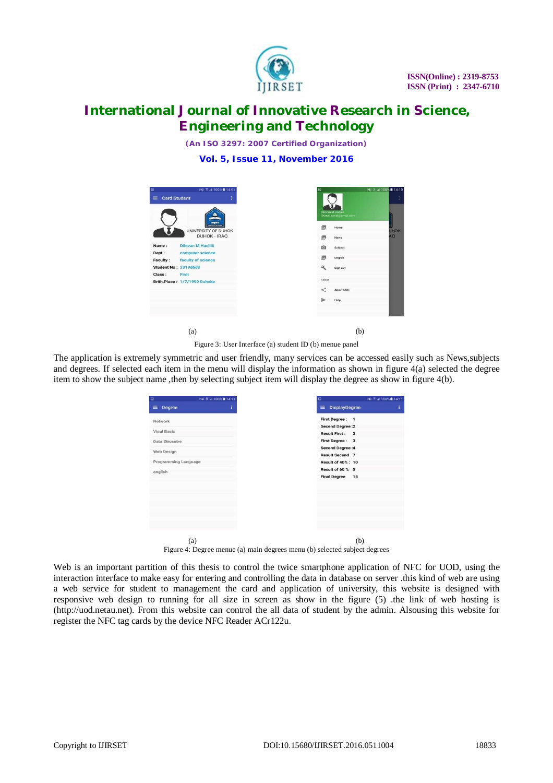

*(An ISO 3297: 2007 Certified Organization)*

**Vol. 5, Issue 11, November 2016**

| <b>Card Student</b><br>$\equiv$                                 | P41 % at 100% ■ 14:01<br>ŧ                                                 | Ġ<br>Dilovan M Hacilii<br>Shimal.sendi@gmail.com |
|-----------------------------------------------------------------|----------------------------------------------------------------------------|--------------------------------------------------|
|                                                                 | anna<br>weeks for an adverse<br>UNIVERSITY OF DUHOK<br><b>DUHOK - IRAQ</b> | 圆<br>Home<br>图<br>News                           |
| Name:<br><b>Dilovan M Haciliii</b><br>Dept:<br>computer science |                                                                            | Ō<br>Subject                                     |
| <b>Faculty:</b><br>faculty of science<br>Student No: 3319d6d8   |                                                                            | 图<br>Degree<br>ىق<br>Sign out                    |
| Class:<br>First<br>Brith.Place: 1/7/1990 Duhoke                 |                                                                            | About                                            |
|                                                                 |                                                                            | ≺<br>About UOD<br>⇒<br>Help                      |
|                                                                 |                                                                            |                                                  |
| (a)                                                             |                                                                            |                                                  |

Figure 3: User Interface (a) student ID (b) menue panel

The application is extremely symmetric and user friendly, many services can be accessed easily such as News,subjects and degrees. If selected each item in the menu will display the information as shown in figure 4(a) selected the degree item to show the subject name ,then by selecting subject item will display the degree as show in figure 4(b).

|                      | <b>INI 7 al 100% 14:11</b> | $\Box$                                          |
|----------------------|----------------------------|-------------------------------------------------|
|                      | ÷                          | <b>DisplayDegree</b><br>$\equiv$                |
|                      |                            | <b>First Degree:</b><br>$\mathbf{1}$            |
|                      |                            | <b>Secend Degree : 2</b>                        |
|                      |                            | <b>Result First:</b><br>3                       |
|                      |                            | <b>First Degree:</b><br>$\overline{\mathbf{3}}$ |
|                      |                            | <b>Secend Degree:4</b>                          |
|                      |                            | <b>Result Secend 7</b>                          |
| Programming Language |                            | <b>Result of 40%: 10</b>                        |
|                      |                            | Result of 60 % 5                                |
|                      |                            | <b>Final Degree</b><br>15                       |
|                      |                            |                                                 |
|                      |                            |                                                 |
|                      |                            |                                                 |
|                      |                            |                                                 |
|                      |                            |                                                 |
|                      |                            |                                                 |
|                      |                            |                                                 |
|                      |                            |                                                 |
|                      |                            | (b)                                             |

Figure 4: Degree menue (a) main degrees menu (b) selected subject degrees

Web is an important partition of this thesis to control the twice smartphone application of NFC for UOD, using the interaction interface to make easy for entering and controlling the data in database on server .this kind of web are using a web service for student to management the card and application of university, this website is designed with responsive web design to running for all size in screen as show in the figure (5) .the link of web hosting is ([http://uod.netau.net\).](http://uod.netau.net).) From this website can control the all data of student by the admin. Alsousing this website for register the NFC tag cards by the device NFC Reader ACr122u.